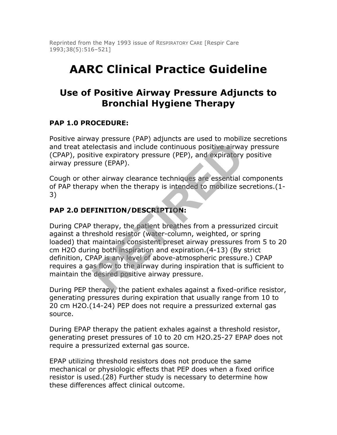Reprinted from the May 1993 issue of RESPIRATORY CARE [Respir Care 1993;38(5):516–521]

# **AARC Clinical Practice Guideline**

## **Use of Positive Airway Pressure Adjuncts to Bronchial Hygiene Therapy**

## **PAP 1.0 PROCEDURE:**

Positive airway pressure (PAP) adjuncts are used to mobilize secretions and treat atelectasis and include continuous positive airway pressure (CPAP), positive expiratory pressure (PEP), and expiratory positive airway pressure (EPAP).

Cough or other airway clearance techniques are essential components of PAP therapy when the therapy is intended to mobilize secretions.(1- 3)

#### **PAP 2.0 DEFINITION/DESCRIPTION:**

During CPAP therapy, the patient breathes from a pressurized circuit against a threshold resistor (water-column, weighted, or spring loaded) that maintains consistent preset airway pressures from 5 to 20 cm H2O during both inspiration and expiration.(4-13) (By strict definition, CPAP is any level of above-atmospheric pressure.) CPAP requires a gas flow to the airway during inspiration that is sufficient to maintain the desired positive airway pressure. **Reference (FRI)**<br> **REFIRED** include continuous positive airway<br>
reflectasis and include continuous positive airwa<br>
reflectasis and include continuous positive airwa<br>
ure (EPAP).<br>
Ner airway clearance techniques are essent

During PEP therapy, the patient exhales against a fixed-orifice resistor, generating pressures during expiration that usually range from 10 to 20 cm H2O.(14-24) PEP does not require a pressurized external gas source.

During EPAP therapy the patient exhales against a threshold resistor, generating preset pressures of 10 to 20 cm H2O.25-27 EPAP does not require a pressurized external gas source.

EPAP utilizing threshold resistors does not produce the same mechanical or physiologic effects that PEP does when a fixed orifice resistor is used.(28) Further study is necessary to determine how these differences affect clinical outcome.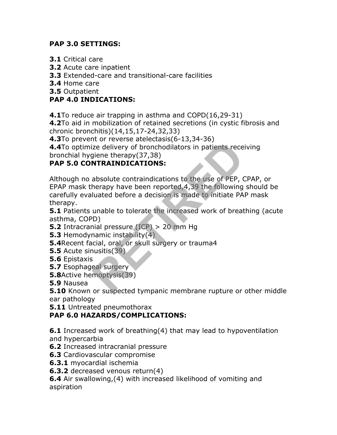## **PAP 3.0 SETTINGS:**

- **3.1** Critical care
- **3.2** Acute care inpatient
- **3.3** Extended-care and transitional-care facilities

**3.4** Home care

**3.5** Outpatient

## **PAP 4.0 INDICATIONS:**

**4.1**To reduce air trapping in asthma and COPD(16,29-31)

**4.2**To aid in mobilization of retained secretions (in cystic fibrosis and chronic bronchitis)(14,15,17-24,32,33)

**4.3**To prevent or reverse atelectasis(6-13,34-36)

**4.4**To optimize delivery of bronchodilators in patients receiving bronchial hygiene therapy(37,38)

## **PAP 5.0 CONTRAINDICATIONS:**

Although no absolute contraindications to the use of PEP, CPAP, or EPAP mask therapy have been reported,4,39 the following should be carefully evaluated before a decision is made to initiate PAP mask therapy. Reflexive decreases (c) 13,31 35<br>ize delivery of bronchodilators in patients rece<br>giene therapy(37,38)<br>**RITRAINDICATIONS:**<br>absolute contraindications to the use of PEP, (<br>herapy have been reported, 4,39 the following<br>luate

**5.1** Patients unable to tolerate the increased work of breathing (acute asthma, COPD)

- **5.2** Intracranial pressure (ICP) > 20 mm Hg
- **5.3** Hemodynamic instability(4)
- **5.4**Recent facial, oral, or skull surgery or trauma4
- **5.5** Acute sinusitis(39)
- **5.6** Epistaxis
- **5.7** Esophageal surgery
- **5.8**Active hemoptysis(39)
- **5.9** Nausea

**5.10** Known or suspected tympanic membrane rupture or other middle ear pathology

**5.11** Untreated pneumothorax

## **PAP 6.0 HAZARDS/COMPLICATIONS:**

**6.1** Increased work of breathing(4) that may lead to hypoventilation and hypercarbia

- **6.2** Increased intracranial pressure
- **6.3** Cardiovascular compromise
- **6.3.1** myocardial ischemia

**6.3.2** decreased venous return(4)

**6.4** Air swallowing,(4) with increased likelihood of vomiting and aspiration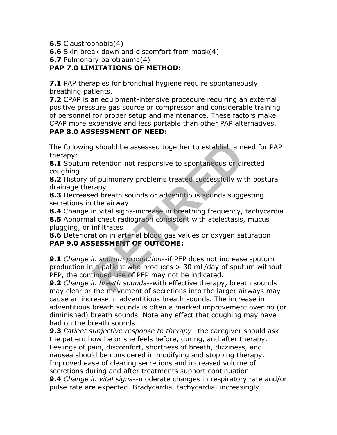**6.5** Claustrophobia(4)

**6.6** Skin break down and discomfort from mask(4)

**6.7** Pulmonary barotrauma(4)

## **PAP 7.0 LIMITATIONS OF METHOD:**

**7.1** PAP therapies for bronchial hygiene require spontaneously breathing patients.

**7.2** CPAP is an equipment-intensive procedure requiring an external positive pressure gas source or compressor and considerable training of personnel for proper setup and maintenance. These factors make CPAP more expensive and less portable than other PAP alternatives.

#### **PAP 8.0 ASSESSMENT OF NEED:**

The following should be assessed together to establish a need for PAP therapy:

**8.1** Sputum retention not responsive to spontaneous or directed coughing

**8.2** History of pulmonary problems treated successfully with postural drainage therapy

**8.3** Decreased breath sounds or adventitious sounds suggesting secretions in the airway

**8.4** Change in vital signs-increase in breathing frequency, tachycardia **8.5** Abnormal chest radiograph consistent with atelectasis, mucus plugging, or infiltrates

**8.6** Deterioration in arterial blood gas values or oxygen saturation **PAP 9.0 ASSESSMENT OF OUTCOME:**

**9.1** *Change in sputum production*--if PEP does not increase sputum production in a patient who produces > 30 mL/day of sputum without PEP, the continued use of PEP may not be indicated. I should be assessed together to establish a net<br>retention not responsive to spontaneous or dil<br>of pulmonary problems treated successfully wir<br>rapy<br>red breath sounds or adventitious sounds sugge<br>the airway<br>in vital signs-i

**9.2** *Change in breath sounds*--with effective therapy, breath sounds may clear or the movement of secretions into the larger airways may cause an increase in adventitious breath sounds. The increase in adventitious breath sounds is often a marked improvement over no (or diminished) breath sounds. Note any effect that coughing may have had on the breath sounds.

**9.3** *Patient subjective response to therapy*--the caregiver should ask the patient how he or she feels before, during, and after therapy. Feelings of pain, discomfort, shortness of breath, dizziness, and nausea should be considered in modifying and stopping therapy. Improved ease of clearing secretions and increased volume of secretions during and after treatments support continuation.

**9.4** *Change in vital signs*--moderate changes in respiratory rate and/or pulse rate are expected. Bradycardia, tachycardia, increasingly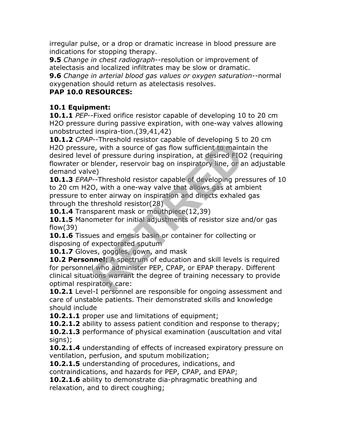irregular pulse, or a drop or dramatic increase in blood pressure are indications for stopping therapy.

**9.5** *Change in chest radiograph*--resolution or improvement of atelectasis and localized infiltrates may be slow or dramatic.

**9.6** *Change in arterial blood gas values or oxygen saturation*--normal oxygenation should return as atelectasis resolves.

## **PAP 10.0 RESOURCES:**

## **10.1 Equipment:**

**10.1.1** *PEP*--Fixed orifice resistor capable of developing 10 to 20 cm H2O pressure during passive expiration, with one-way valves allowing unobstructed inspira-tion.(39,41,42)

**10.1.2** *CPAP*--Threshold resistor capable of developing 5 to 20 cm H2O pressure, with a source of gas flow sufficient to maintain the desired level of pressure during inspiration, at desired FIO2 (requiring flowrater or blender, reservoir bag on inspiratory line, or an adjustable demand valve) Intestion resistor equals of developing 5 c<br>e, with a source of gas flow sufficient to maint<br>of pressure during inspiration, at desired FIO.<br>blender, reservoir bag on inspiratory line, or a<br>e)<br>---Threshold resistor capable

**10.1.3** *EPAP*--Threshold resistor capable of developing pressures of 10 to 20 cm H2O, with a one-way valve that allows gas at ambient pressure to enter airway on inspiration and directs exhaled gas through the threshold resistor(28)

**10.1.4** Transparent mask or mouthpiece(12,39)

**10.1.5** Manometer for initial adjustments of resistor size and/or gas flow(39)

**10.1.6** Tissues and emesis basin or container for collecting or disposing of expectorated sputum

10.1.7 Gloves, goggles, gown, and mask

**10.2 Personnel:** A spectrum of education and skill levels is required for personnel who administer PEP, CPAP, or EPAP therapy. Different clinical situations warrant the degree of training necessary to provide optimal respiratory care:

**10.2.1** Level-I personnel are responsible for ongoing assessment and care of unstable patients. Their demonstrated skills and knowledge should include

**10.2.1.1** proper use and limitations of equipment;

**10.2.1.2** ability to assess patient condition and response to therapy;

**10.2.1.3** performance of physical examination (auscultation and vital signs);

**10.2.1.4** understanding of effects of increased expiratory pressure on ventilation, perfusion, and sputum mobilization;

**10.2.1.5** understanding of procedures, indications, and contraindications, and hazards for PEP, CPAP, and EPAP;

**10.2.1.6** ability to demonstrate dia-phragmatic breathing and relaxation, and to direct coughing;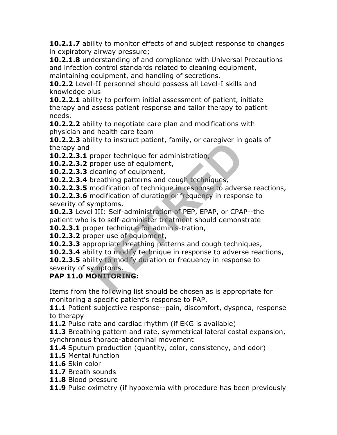**10.2.1.7** ability to monitor effects of and subject response to changes in expiratory airway pressure;

**10.2.1.8** understanding of and compliance with Universal Precautions and infection control standards related to cleaning equipment, maintaining equipment, and handling of secretions.

**10.2.2** Level-II personnel should possess all Level-I skills and knowledge plus

**10.2.2.1** ability to perform initial assessment of patient, initiate therapy and assess patient response and tailor therapy to patient needs.

**10.2.2.2** ability to negotiate care plan and modifications with physician and health care team

**10.2.2.3** ability to instruct patient, family, or caregiver in goals of therapy and

**10.2.2.3.1** proper technique for administration,

**10.2.2.3.2** proper use of equipment,

**10.2.2.3.3** cleaning of equipment,

**10.2.2.3.4** breathing patterns and cough techniques,

**10.2.2.3.5** modification of technique in response to adverse reactions,

**10.2.2.3.6** modification of duration or frequency in response to severity of symptoms.

**10.2.3** Level III: Self-administration of PEP, EPAP, or CPAP--the patient who is to self-administer treatment should demonstrate Interpretential parameters, ranny, or caregiver in<br>proper technique for administration,<br>proper use of equipment,<br>modification of technique in response to adver-<br>modification of duration or frequency in respont<br>modification

**10.2.3.1** proper technique for adminis-tration,

**10.2.3.2** proper use of equipment,

**10.2.3.3** appropriate breathing patterns and cough techniques,

**10.2.3.4** ability to modify technique in response to adverse reactions,

**10.2.3.5** ability to modify duration or frequency in response to severity of symptoms.

## **PAP 11.0 MONITORING:**

Items from the following list should be chosen as is appropriate for monitoring a specific patient's response to PAP.

11.1 Patient subjective response--pain, discomfort, dyspnea, response to therapy

**11.2** Pulse rate and cardiac rhythm (if EKG is available)

**11.3** Breathing pattern and rate, symmetrical lateral costal expansion, synchronous thoraco-abdominal movement

**11.4** Sputum production (quantity, color, consistency, and odor)

**11.5** Mental function

**11.6** Skin color

**11.7** Breath sounds

**11.8** Blood pressure

**11.9** Pulse oximetry (if hypoxemia with procedure has been previously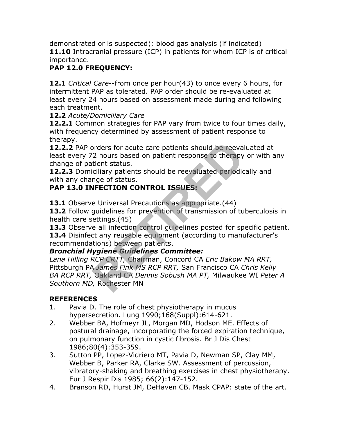demonstrated or is suspected); blood gas analysis (if indicated) **11.10** Intracranial pressure (ICP) in patients for whom ICP is of critical importance.

## **PAP 12.0 FREQUENCY:**

**12.1** *Critical Care*--from once per hour(43) to once every 6 hours, for intermittent PAP as tolerated. PAP order should be re-evaluated at least every 24 hours based on assessment made during and following each treatment.

#### **12.2** *Acute/Domiciliary Care*

**12.2.1** Common strategies for PAP vary from twice to four times daily, with frequency determined by assessment of patient response to therapy.

**12.2.2** PAP orders for acute care patients should be reevaluated at least every 72 hours based on patient response to therapy or with any change of patient status.

**12.2.3** Domiciliary patients should be reevaluated periodically and with any change of status.

## **PAP 13.0 INFECTION CONTROL ISSUES:**

**13.1** Observe Universal Precautions as appropriate. (44)

**13.2** Follow guidelines for prevention of transmission of tuberculosis in health care settings.(45)

**13.3** Observe all infection control guidelines posted for specific patient. 13.4 Disinfect any reusable equipment (according to manufacturer's recommendations) between patients.

## *Bronchial Hygiene Guidelines Committee:*

*Lana Hilling RCP CRTT,* Chairman, Concord CA *Eric Bakow MA RRT,* Pittsburgh PA *James Fink MS RCP RRT,* San Francisco CA *Chris Kelly BA RCP RRT,* Oakland CA *Dennis Sobush MA PT,* Milwaukee WI *Peter A Southorn MD,* Rochester MN orders for acute care patients should be reeva<br>
2 hours based on patient response to therapy<br>
tient status.<br>
Ciliary patients should be reevaluated periodic<br>
nge of status.<br> **RECTION CONTROL ISSUES:**<br>
e Universal Precautio

## **REFERENCES**

- 1. Pavia D. The role of chest physiotherapy in mucus hypersecretion. Lung 1990;168(Suppl):614-621.
- 2. Webber BA, Hofmeyr JL, Morgan MD, Hodson ME. Effects of postural drainage, incorporating the forced expiration technique, on pulmonary function in cystic fibrosis. Br J Dis Chest 1986;80(4):353-359.
- 3. Sutton PP, Lopez-Vidriero MT, Pavia D, Newman SP, Clay MM, Webber B, Parker RA, Clarke SW. Assessment of percussion, vibratory-shaking and breathing exercises in chest physiotherapy. Eur J Respir Dis 1985; 66(2):147-152.
- 4. Branson RD, Hurst JM, DeHaven CB. Mask CPAP: state of the art.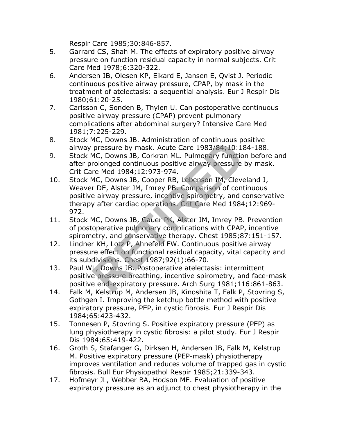Respir Care 1985;30:846-857.

- 5. Garrard CS, Shah M. The effects of expiratory positive airway pressure on function residual capacity in normal subjects. Crit Care Med 1978;6:320-322.
- 6. Andersen JB, Olesen KP, Eikard E, Jansen E, Qvist J. Periodic continuous positive airway pressure, CPAP, by mask in the treatment of atelectasis: a sequential analysis. Eur J Respir Dis 1980;61:20-25.
- 7. Carlsson C, Sonden B, Thylen U. Can postoperative continuous positive airway pressure (CPAP) prevent pulmonary complications after abdominal surgery? Intensive Care Med 1981;7:225-229.
- 8. Stock MC, Downs JB. Administration of continuous positive airway pressure by mask. Acute Care 1983/84;10:184-188.
- 9. Stock MC, Downs JB, Corkran ML. Pulmonary function before and after prolonged continuous positive airway pressure by mask. Crit Care Med 1984;12:973-974.
- 10. Stock MC, Downs JB, Cooper RB, Lebenson IM, Cleveland J, Weaver DE, Alster JM, Imrey PB. Comparison of continuous positive airway pressure, incentive spirometry, and conservative therapy after cardiac operations. Crit Care Med 1984;12:969- 972. <sup>1</sup>C, Downs 3D. Administration of continuous per<br>pressure by mask. Acute Care 1983/84;10:18<br>MC, Downs JB, Corkran ML. Pulmonary functio<br>rolonged continuous positive airway pressure<br>re Med 1984;12:973-974.<br>MC, Downs JB, Coo
- 11. Stock MC, Downs JB, Gauer PK, Alster JM, Imrey PB. Prevention of postoperative pulmonary complications with CPAP, incentive spirometry, and conservative therapy. Chest 1985;87:151-157.
- 12. Lindner KH, Lotz P, Ahnefeld FW. Continuous positive airway pressure effect on functional residual capacity, vital capacity and its subdivisions. Chest 1987;92(1):66-70.
- 13. Paul WL, Downs JB. Postoperative atelectasis: intermittent positive pressure breathing, incentive spirometry, and face-mask positive end-expiratory pressure. Arch Surg 1981;116:861-863.
- 14. Falk M, Kelstrup M, Andersen JB, Kinoshita T, Falk P, Stovring S, Gothgen I. Improving the ketchup bottle method with positive expiratory pressure, PEP, in cystic fibrosis. Eur J Respir Dis 1984;65:423-432.
- 15. Tonnesen P, Stovring S. Positive expiratory pressure (PEP) as lung physiotherapy in cystic fibrosis: a pilot study. Eur J Respir Dis 1984;65:419-422.
- 16. Groth S, Stafanger G, Dirksen H, Andersen JB, Falk M, Kelstrup M. Positive expiratory pressure (PEP-mask) physiotherapy improves ventilation and reduces volume of trapped gas in cystic fibrosis. Bull Eur Physiopathol Respir 1985;21:339-343.
- 17. Hofmeyr JL, Webber BA, Hodson ME. Evaluation of positive expiratory pressure as an adjunct to chest physiotherapy in the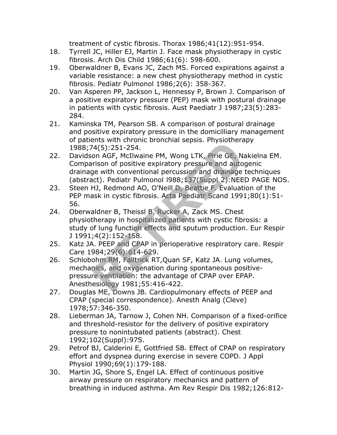treatment of cystic fibrosis. Thorax 1986;41(12):951-954.

- 18. Tyrrell JC, Hiller EJ, Martin J. Face mask physiotherapy in cystic fibrosis. Arch Dis Child 1986;61(6): 598-600.
- 19. Oberwaldner B, Evans JC, Zach MS. Forced expirations against a variable resistance: a new chest physiotherapy method in cystic fibrosis. Pediatr Pulmonol 1986;2(6): 358-367.
- 20. Van Asperen PP, Jackson L, Hennessy P, Brown J. Comparison of a positive expiratory pressure (PEP) mask with postural drainage in patients with cystic fibrosis. Aust Paediatr J 1987;23(5):283- 284.
- 21. Kaminska TM, Pearson SB. A comparison of postural drainage and positive expiratory pressure in the domicilliary management of patients with chronic bronchial sepsis. Physiotherapy 1988;74(5):251-254.
- 22. Davidson AGF, McIlwaine PM, Wong LTK, Pirie GE, Nakielna EM. Comparison of positive expiratory pressure and autogenic drainage with conventional percussion and drainage techniques (abstract). Pediatr Pulmonol l988;137(Suppl 2):NEED PAGE NOS. <sup>2</sup>4(5):251-254.<br>
24(5):251-254.<br>
24(5):251-254.<br>
In AGF, McIlwaine PM, Wong LTK, Pirie GE, Nixison of positive expiratory pressure and auto<br>
ge with conventional percussion and drainage<br>
and AC, O'Neill D, Beattie F, Eval
- 23. Steen HJ, Redmond AO, O'Neill D, Beattie F. Evaluation of the PEP mask in cystic fibrosis. Acta Paediatr Scand 1991;80(1):51- 56.
- 24. Oberwaldner B, Theissl B, Rucker A, Zack MS. Chest physiotherapy in hospitalized patients with cystic fibrosis: a study of lung function effects and sputum production. Eur Respir J 1991;4(2):152-158.
- 25. Katz JA. PEEP and CPAP in perioperative respiratory care. Respir Care 1984;29(6):614-629.
- 26. Schlobohm RM, Falltrick RT,Quan SF, Katz JA. Lung volumes, mechanics, and oxygenation during spontaneous positivepressure ventilation: the advantage of CPAP over EPAP. Anesthesiology 1981;55:416-422.
- 27. Douglas ME, Downs JB. Cardiopulmonary effects of PEEP and CPAP (special correspondence). Anesth Analg (Cleve) 1978;57:346-350.
- 28. Lieberman JA, Tarnow J, Cohen NH. Comparison of a fixed-orifice and threshold-resistor for the delivery of positive expiratory pressure to nonintubated patients (abstract). Chest 1992;102(Suppl):97S.
- 29. Petrof BJ, Calderini E, Gottfried SB. Effect of CPAP on respiratory effort and dyspnea during exercise in severe COPD. J Appl Physiol 1990;69(1):179-188.
- 30. Martin JG, Shore S, Engel LA. Effect of continuous positive airway pressure on respiratory mechanics and pattern of breathing in induced asthma. Am Rev Respir Dis 1982;126:812-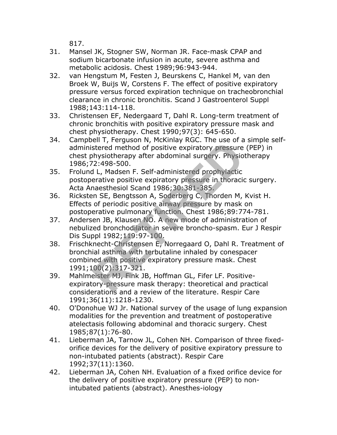817.

- 31. Mansel JK, Stogner SW, Norman JR. Face-mask CPAP and sodium bicarbonate infusion in acute, severe asthma and metabolic acidosis. Chest 1989;96:943-944.
- 32. van Hengstum M, Festen J, Beurskens C, Hankel M, van den Broek W, Buijs W, Corstens F. The effect of positive expiratory pressure versus forced expiration technique on tracheobronchial clearance in chronic bronchitis. Scand J Gastroenterol Suppl 1988;143:114-118.
- 33. Christensen EF, Nedergaard T, Dahl R. Long-term treatment of chronic bronchitis with positive expiratory pressure mask and chest physiotherapy. Chest 1990;97(3): 645-650.
- 34. Campbell T, Ferguson N, McKinlay RGC. The use of a simple selfadministered method of positive expiratory pressure (PEP) in chest physiotherapy after abdominal surgery. Physiotherapy 1986;72:498-500.
- 35. Frolund L, Madsen F. Self-administered prophylactic postoperative positive expiratory pressure in thoracic surgery. Acta Anaesthesiol Scand 1986;30:381-385.
- 36. Ricksten SE, Bengtsson A, Soderberg C, Thorden M, Kvist H. Effects of periodic positive airway pressure by mask on postoperative pulmonary function. Chest 1986;89:774-781.
- 37. Andersen JB, Klausen NO. A new mode of administration of nebulized bronchodilator in severe broncho-spasm. Eur J Respir Dis Suppl 1982;119:97-100.
- 38. Frischknecht-Christensen E, Norregaard O, Dahl R. Treatment of bronchial asthma with terbutaline inhaled by conespacer combined with positive expiratory pressure mask. Chest 1991;100(2):317-321. en 1, Leydson N, Hekling Noc. The use of a<br>stered method of positive expiratory pressure<br>hysiotherapy after abdominal surgery. Physio<br>2:498-500.<br>L, Madsen F. Self-administered prophylactic<br>erative positive expiratory press
- 39. Mahlmeister MJ, Fink JB, Hoffman GL, Fifer LF. Positiveexpiratory-pressure mask therapy: theoretical and practical considerations and a review of the literature. Respir Care 1991;36(11):1218-1230.
- 40. O'Donohue WJ Jr. National survey of the usage of lung expansion modalities for the prevention and treatment of postoperative atelectasis following abdominal and thoracic surgery. Chest 1985;87(1):76-80.
- 41. Lieberman JA, Tarnow JL, Cohen NH. Comparison of three fixedorifice devices for the delivery of positive expiratory pressure to non-intubated patients (abstract). Respir Care 1992;37(11):1360.
- 42. Lieberman JA, Cohen NH. Evaluation of a fixed orifice device for the delivery of positive expiratory pressure (PEP) to nonintubated patients (abstract). Anesthes-iology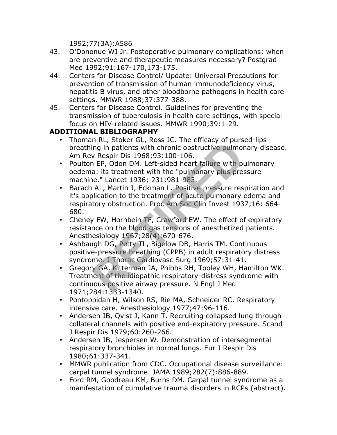1992;77(3A):A586

- 43. O'Dononue WJ Jr. Postoperative pulmonary complications: when are preventive and therapeutic measures necessary? Postgrad Med 1992;91:167-170,173-175.
- 44. Centers for Disease Control/ Update: Universal Precautions for prevention of transmission of human immunodeficiency virus, hepatitis B virus, and other bloodborne pathogens in health care settings. MMWR 1988;37:377-388.
- 45. Centers for Disease Control. Guidelines for preventing the transmission of tuberculosis in health care settings, with special focus on HIV-related issues. MMWR 1990;39:1-29.

## **ADDITIONAL BIBLIOGRAPHY**

- Thoman RL, Stoker GL, Ross JC. The efficacy of pursed-lips breathing in patients with chronic obstructive pulmonary disease. Am Rev Respir Dis 1968;93:100-106.
- Poulton EP, Odon DM. Left-sided heart failure with pulmonary oedema: its treatment with the "pulmonary plus pressure machine." Lancet 1936; 231:981-983.
- Barach AL, Martin J, Eckman L. Positive pressure respiration and it's application to the treatment of acute pulmonary edema and respiratory obstruction. Proc Am Soc Clin Invest 1937;16: 664- 680. In Register of the Homing in patients with chronic obstructive pulmon<br>v Respir Dis 1968;93:100-106.<br>TeP, Odon DM. Left-sided heart failure with pu<br>a: its treatment with the "pulmonary plus prese." Lancet 1936; 231:981-983.
- Cheney FW, Hornbein TF, Crawford EW. The effect of expiratory resistance on the blood gas tensions of anesthetized patients. Anesthesiology 1967;28(4):670-676.
- Ashbaugh DG, Petty TL, Bigelow DB, Harris TM. Continuous positive-pressure breathing (CPPB) in adult respiratory distress syndrome. J Thorac Cardiovasc Surg 1969;57:31-41.
- Gregory GA, Kitterman JA, Phibbs RH, Tooley WH, Hamilton WK. Treatment of the idiopathic respiratory-distress syndrome with continuous positive airway pressure. N Engl J Med 1971;284:1333-1340.
- Pontoppidan H, Wilson RS, Rie MA, Schneider RC. Respiratory intensive care. Anesthesiology 1977;47:96-116.
- Andersen JB, Qvist J, Kann T. Recruiting collapsed lung through collateral channels with positive end-expiratory pressure. Scand J Respir Dis 1979;60:260-266.
- Andersen JB, Jespersen W. Demonstration of intersegmental respiratory bronchioles in normal lungs. Eur J Respir Dis 1980;61:337-341.
- MMWR publication from CDC. Occupational disease surveillance: carpal tunnel syndrome. JAMA 1989;282(7):886-889.
- Ford RM, Goodreau KM, Burns DM. Carpal tunnel syndrome as a manifestation of cumulative trauma disorders in RCPs (abstract).